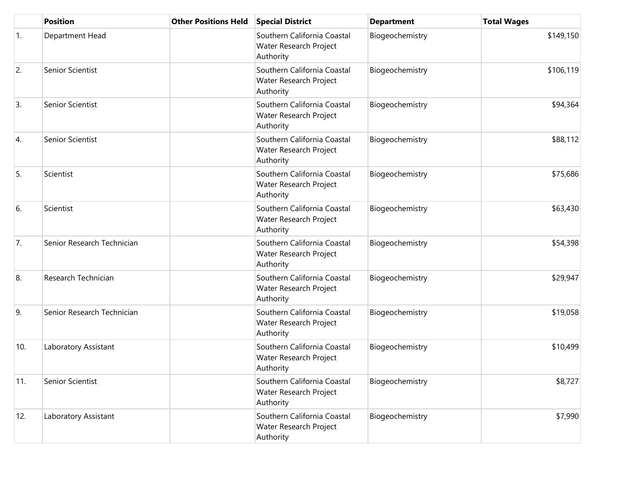|     | <b>Position</b>            | <b>Other Positions Held</b> | <b>Special District</b>                                            | <b>Department</b> | <b>Total Wages</b> |
|-----|----------------------------|-----------------------------|--------------------------------------------------------------------|-------------------|--------------------|
| 1.  | Department Head            |                             | Southern California Coastal<br>Water Research Project<br>Authority | Biogeochemistry   | \$149,150          |
| 2.  | Senior Scientist           |                             | Southern California Coastal<br>Water Research Project<br>Authority | Biogeochemistry   | \$106,119          |
| 3.  | Senior Scientist           |                             | Southern California Coastal<br>Water Research Project<br>Authority | Biogeochemistry   | \$94,364           |
| 4.  | Senior Scientist           |                             | Southern California Coastal<br>Water Research Project<br>Authority | Biogeochemistry   | \$88,112           |
| 5.  | Scientist                  |                             | Southern California Coastal<br>Water Research Project<br>Authority | Biogeochemistry   | \$75,686           |
| 6.  | Scientist                  |                             | Southern California Coastal<br>Water Research Project<br>Authority | Biogeochemistry   | \$63,430           |
| 7.  | Senior Research Technician |                             | Southern California Coastal<br>Water Research Project<br>Authority | Biogeochemistry   | \$54,398           |
| 8.  | Research Technician        |                             | Southern California Coastal<br>Water Research Project<br>Authority | Biogeochemistry   | \$29,947           |
| 9.  | Senior Research Technician |                             | Southern California Coastal<br>Water Research Project<br>Authority | Biogeochemistry   | \$19,058           |
| 10. | Laboratory Assistant       |                             | Southern California Coastal<br>Water Research Project<br>Authority | Biogeochemistry   | \$10,499           |
| 11. | Senior Scientist           |                             | Southern California Coastal<br>Water Research Project<br>Authority | Biogeochemistry   | \$8,727            |
| 12. | Laboratory Assistant       |                             | Southern California Coastal<br>Water Research Project<br>Authority | Biogeochemistry   | \$7,990            |